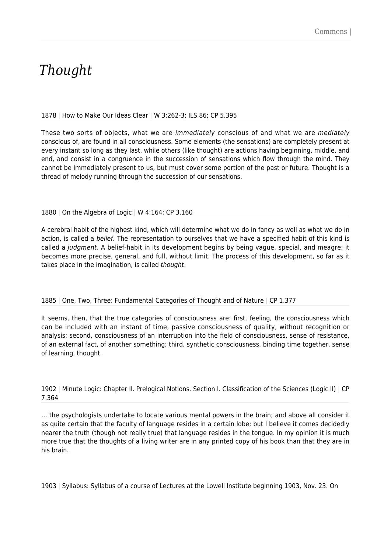# *Thought*

1878 | How to Make Our Ideas Clear | W 3:262-3; ILS 86; CP 5.395

These two sorts of objects, what we are immediately conscious of and what we are mediately conscious of, are found in all consciousness. Some elements (the sensations) are completely present at every instant so long as they last, while others (like thought) are actions having beginning, middle, and end, and consist in a congruence in the succession of sensations which flow through the mind. They cannot be immediately present to us, but must cover some portion of the past or future. Thought is a thread of melody running through the succession of our sensations.

## 1880 | On the Algebra of Logic | W 4:164; CP 3.160

A cerebral habit of the highest kind, which will determine what we do in fancy as well as what we do in action, is called a belief. The representation to ourselves that we have a specified habit of this kind is called a judgment. A belief-habit in its development begins by being vague, special, and meagre; it becomes more precise, general, and full, without limit. The process of this development, so far as it takes place in the imagination, is called thought.

## 1885 | One, Two, Three: Fundamental Categories of Thought and of Nature | CP 1.377

It seems, then, that the true categories of consciousness are: first, feeling, the consciousness which can be included with an instant of time, passive consciousness of quality, without recognition or analysis; second, consciousness of an interruption into the field of consciousness, sense of resistance, of an external fact, of another something; third, synthetic consciousness, binding time together, sense of learning, thought.

## 1902 | Minute Logic: Chapter II. Prelogical Notions. Section I. Classification of the Sciences (Logic II) | CP 7.364

… the psychologists undertake to locate various mental powers in the brain; and above all consider it as quite certain that the faculty of language resides in a certain lobe; but I believe it comes decidedly nearer the truth (though not really true) that language resides in the tongue. In my opinion it is much more true that the thoughts of a living writer are in any printed copy of his book than that they are in his brain.

1903 | Syllabus: Syllabus of a course of Lectures at the Lowell Institute beginning 1903, Nov. 23. On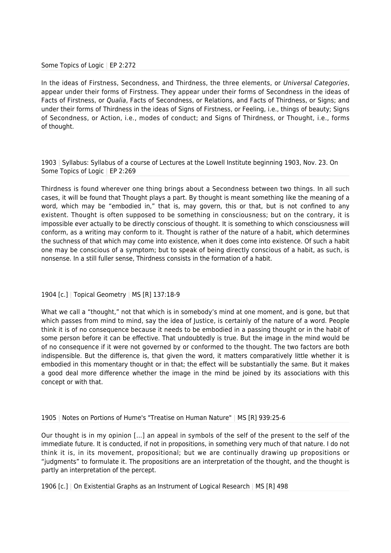Some Topics of Logic | EP 2:272

In the ideas of Firstness, Secondness, and Thirdness, the three elements, or Universal Categories, appear under their forms of Firstness. They appear under their forms of Secondness in the ideas of Facts of Firstness, or Qualia, Facts of Secondness, or Relations, and Facts of Thirdness, or Signs; and under their forms of Thirdness in the ideas of Signs of Firstness, or Feeling, i.e., things of beauty; Signs of Secondness, or Action, i.e., modes of conduct; and Signs of Thirdness, or Thought, i.e., forms of thought.

1903 | Syllabus: Syllabus of a course of Lectures at the Lowell Institute beginning 1903, Nov. 23. On Some Topics of Logic | EP 2:269

Thirdness is found wherever one thing brings about a Secondness between two things. In all such cases, it will be found that Thought plays a part. By thought is meant something like the meaning of a word, which may be "embodied in," that is, may govern, this or that, but is not confined to any existent. Thought is often supposed to be something in consciousness; but on the contrary, it is impossible ever actually to be directly conscious of thought. It is something to which consciousness will conform, as a writing may conform to it. Thought is rather of the nature of a habit, which determines the suchness of that which may come into existence, when it does come into existence. Of such a habit one may be conscious of a symptom; but to speak of being directly conscious of a habit, as such, is nonsense. In a still fuller sense, Thirdness consists in the formation of a habit.

## 1904 [c.] | Topical Geometry | MS [R] 137:18-9

What we call a "thought," not that which is in somebody's mind at one moment, and is gone, but that which passes from mind to mind, say the idea of Justice, is certainly of the nature of a word. People think it is of no consequence because it needs to be embodied in a passing thought or in the habit of some person before it can be effective. That undoubtedly is true. But the image in the mind would be of no consequence if it were not governed by or conformed to the thought. The two factors are both indispensible. But the difference is, that given the word, it matters comparatively little whether it is embodied in this momentary thought or in that; the effect will be substantially the same. But it makes a good deal more difference whether the image in the mind be joined by its associations with this concept or with that.

## 1905 | Notes on Portions of Hume's "Treatise on Human Nature" | MS [R] 939:25-6

Our thought is in my opinion […] an appeal in symbols of the self of the present to the self of the immediate future. It is conducted, if not in propositions, in something very much of that nature. I do not think it is, in its movement, propositional; but we are continually drawing up propositions or "judgments" to formulate it. The propositions are an interpretation of the thought, and the thought is partly an interpretation of the percept.

1906 [c.] | On Existential Graphs as an Instrument of Logical Research | MS [R] 498